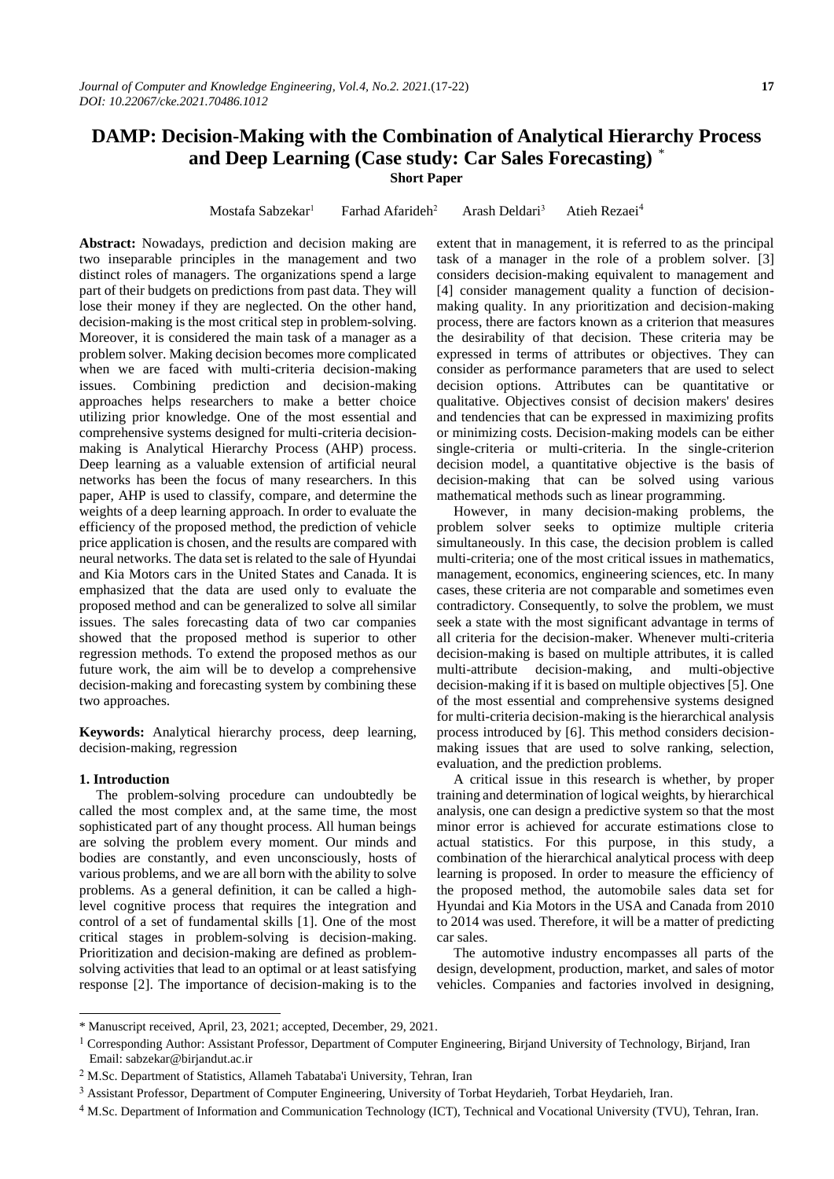# **DAMP: Decision-Making with the Combination of Analytical Hierarchy Process and Deep Learning (Case study: Car Sales Forecasting)** \*

**Short Paper**

Mostafa Sabzekar<sup>1</sup> Farhad Afarideh<sup>2</sup> Arash Deldari<sup>3</sup> Atieh Rezaei<sup>4</sup>

**Abstract:** Nowadays, prediction and decision making are two inseparable principles in the management and two distinct roles of managers. The organizations spend a large part of their budgets on predictions from past data. They will lose their money if they are neglected. On the other hand, decision-making is the most critical step in problem-solving. Moreover, it is considered the main task of a manager as a problem solver. Making decision becomes more complicated when we are faced with multi-criteria decision-making issues. Combining prediction and decision-making approaches helps researchers to make a better choice utilizing prior knowledge. One of the most essential and comprehensive systems designed for multi-criteria decisionmaking is Analytical Hierarchy Process (AHP) process. Deep learning as a valuable extension of artificial neural networks has been the focus of many researchers. In this paper, AHP is used to classify, compare, and determine the weights of a deep learning approach. In order to evaluate the efficiency of the proposed method, the prediction of vehicle price application is chosen, and the results are compared with neural networks. The data set is related to the sale of Hyundai and Kia Motors cars in the United States and Canada. It is emphasized that the data are used only to evaluate the proposed method and can be generalized to solve all similar issues. The sales forecasting data of two car companies showed that the proposed method is superior to other regression methods. To extend the proposed methos as our future work, the aim will be to develop a comprehensive decision-making and forecasting system by combining these two approaches.

**Keywords:** Analytical hierarchy process, deep learning, decision-making, regression

#### **1. Introduction**

1

The problem-solving procedure can undoubtedly be called the most complex and, at the same time, the most sophisticated part of any thought process. All human beings are solving the problem every moment. Our minds and bodies are constantly, and even unconsciously, hosts of various problems, and we are all born with the ability to solve problems. As a general definition, it can be called a highlevel cognitive process that requires the integration and control of a set of fundamental skills [1]. One of the most critical stages in problem-solving is decision-making. Prioritization and decision-making are defined as problemsolving activities that lead to an optimal or at least satisfying response [2]. The importance of decision-making is to the

extent that in management, it is referred to as the principal task of a manager in the role of a problem solver. [3] considers decision-making equivalent to management and [4] consider management quality a function of decisionmaking quality. In any prioritization and decision-making process, there are factors known as a criterion that measures the desirability of that decision. These criteria may be expressed in terms of attributes or objectives. They can consider as performance parameters that are used to select decision options. Attributes can be quantitative or qualitative. Objectives consist of decision makers' desires and tendencies that can be expressed in maximizing profits or minimizing costs. Decision-making models can be either single-criteria or multi-criteria. In the single-criterion decision model, a quantitative objective is the basis of decision-making that can be solved using various mathematical methods such as linear programming.

However, in many decision-making problems, the problem solver seeks to optimize multiple criteria simultaneously. In this case, the decision problem is called multi-criteria; one of the most critical issues in mathematics, management, economics, engineering sciences, etc. In many cases, these criteria are not comparable and sometimes even contradictory. Consequently, to solve the problem, we must seek a state with the most significant advantage in terms of all criteria for the decision-maker. Whenever multi-criteria decision-making is based on multiple attributes, it is called multi-attribute decision-making, and multi-objective decision-making if it is based on multiple objectives [5]. One of the most essential and comprehensive systems designed for multi-criteria decision-making is the hierarchical analysis process introduced by [6]. This method considers decisionmaking issues that are used to solve ranking, selection, evaluation, and the prediction problems.

A critical issue in this research is whether, by proper training and determination of logical weights, by hierarchical analysis, one can design a predictive system so that the most minor error is achieved for accurate estimations close to actual statistics. For this purpose, in this study, a combination of the hierarchical analytical process with deep learning is proposed. In order to measure the efficiency of the proposed method, the automobile sales data set for Hyundai and Kia Motors in the USA and Canada from 2010 to 2014 was used. Therefore, it will be a matter of predicting car sales.

The automotive industry encompasses all parts of the design, development, production, market, and sales of motor vehicles. Companies and factories involved in designing,

<sup>\*</sup> Manuscript received, April, 23, 2021; accepted, December, 29, 2021.

<sup>&</sup>lt;sup>1</sup> Corresponding Author: Assistant Professor, Department of Computer Engineering, Birjand University of Technology, Birjand, Iran Email: sabzekar@birjandut.ac.ir

<sup>2</sup> M.Sc. Department of Statistics, Allameh Tabataba'i University, Tehran, Iran

<sup>3</sup> Assistant Professor, Department of Computer Engineering, University of Torbat Heydarieh, Torbat Heydarieh, Iran.

<sup>4</sup> M.Sc. Department of Information and Communication Technology (ICT), Technical and Vocational University (TVU), Tehran, Iran.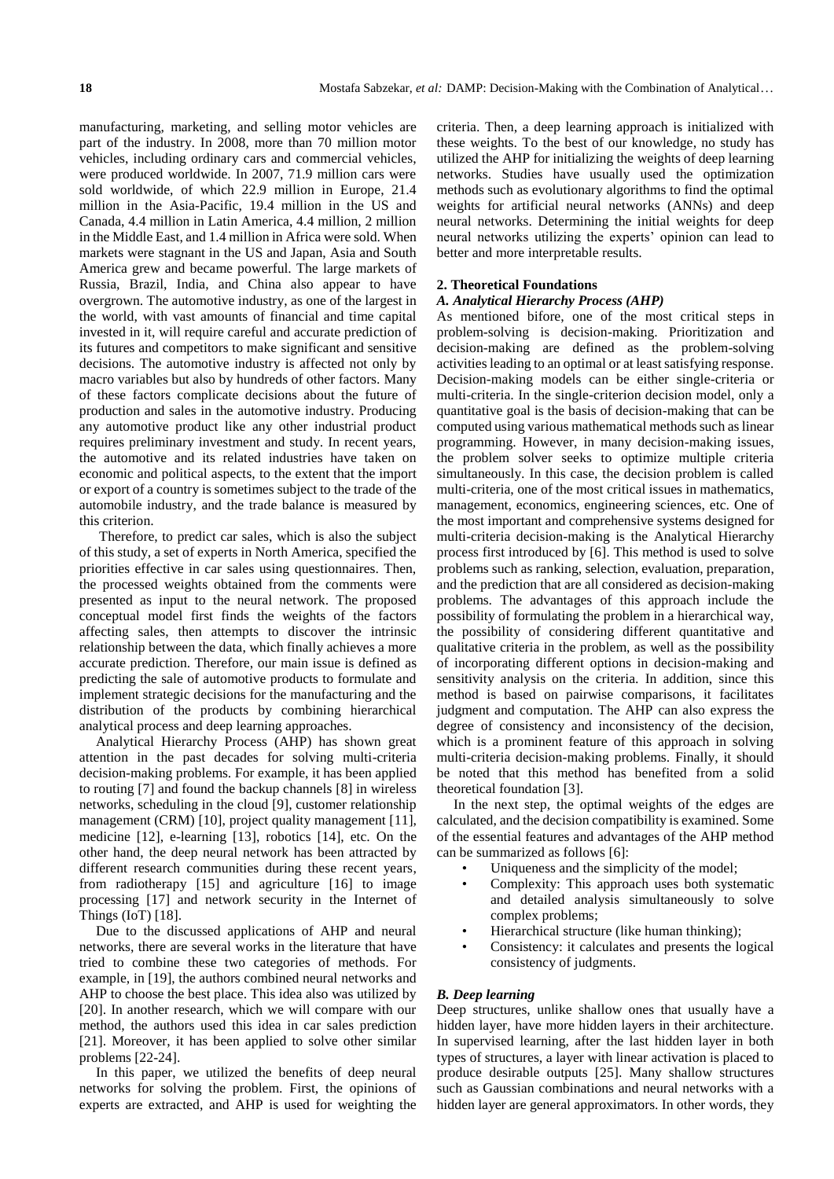manufacturing, marketing, and selling motor vehicles are part of the industry. In 2008, more than 70 million motor vehicles, including ordinary cars and commercial vehicles, were produced worldwide. In 2007, 71.9 million cars were sold worldwide, of which 22.9 million in Europe, 21.4 million in the Asia-Pacific, 19.4 million in the US and Canada, 4.4 million in Latin America, 4.4 million, 2 million in the Middle East, and 1.4 million in Africa were sold. When markets were stagnant in the US and Japan, Asia and South America grew and became powerful. The large markets of Russia, Brazil, India, and China also appear to have overgrown. The automotive industry, as one of the largest in the world, with vast amounts of financial and time capital invested in it, will require careful and accurate prediction of its futures and competitors to make significant and sensitive decisions. The automotive industry is affected not only by macro variables but also by hundreds of other factors. Many of these factors complicate decisions about the future of production and sales in the automotive industry. Producing any automotive product like any other industrial product requires preliminary investment and study. In recent years, the automotive and its related industries have taken on economic and political aspects, to the extent that the import or export of a country is sometimes subject to the trade of the automobile industry, and the trade balance is measured by this criterion.

Therefore, to predict car sales, which is also the subject of this study, a set of experts in North America, specified the priorities effective in car sales using questionnaires. Then, the processed weights obtained from the comments were presented as input to the neural network. The proposed conceptual model first finds the weights of the factors affecting sales, then attempts to discover the intrinsic relationship between the data, which finally achieves a more accurate prediction. Therefore, our main issue is defined as predicting the sale of automotive products to formulate and implement strategic decisions for the manufacturing and the distribution of the products by combining hierarchical analytical process and deep learning approaches.

Analytical Hierarchy Process (AHP) has shown great attention in the past decades for solving multi-criteria decision-making problems. For example, it has been applied to routing [7] and found the backup channels [8] in wireless networks, scheduling in the cloud [9], customer relationship management (CRM) [10], project quality management [11], medicine [12], e-learning [13], robotics [14], etc. On the other hand, the deep neural network has been attracted by different research communities during these recent years, from radiotherapy [15] and agriculture [16] to image processing [17] and network security in the Internet of Things (IoT) [18].

Due to the discussed applications of AHP and neural networks, there are several works in the literature that have tried to combine these two categories of methods. For example, in [19], the authors combined neural networks and AHP to choose the best place. This idea also was utilized by [20]. In another research, which we will compare with our method, the authors used this idea in car sales prediction [21]. Moreover, it has been applied to solve other similar problems [22-24].

In this paper, we utilized the benefits of deep neural networks for solving the problem. First, the opinions of experts are extracted, and AHP is used for weighting the criteria. Then, a deep learning approach is initialized with these weights. To the best of our knowledge, no study has utilized the AHP for initializing the weights of deep learning networks. Studies have usually used the optimization methods such as evolutionary algorithms to find the optimal weights for artificial neural networks (ANNs) and deep neural networks. Determining the initial weights for deep neural networks utilizing the experts' opinion can lead to better and more interpretable results.

#### **2. Theoretical Foundations**

## *A. Analytical Hierarchy Process (AHP)*

As mentioned bifore, one of the most critical steps in problem-solving is decision-making. Prioritization and decision-making are defined as the problem-solving activities leading to an optimal or at least satisfying response. Decision-making models can be either single-criteria or multi-criteria. In the single-criterion decision model, only a quantitative goal is the basis of decision-making that can be computed using various mathematical methods such as linear programming. However, in many decision-making issues, the problem solver seeks to optimize multiple criteria simultaneously. In this case, the decision problem is called multi-criteria, one of the most critical issues in mathematics, management, economics, engineering sciences, etc. One of the most important and comprehensive systems designed for multi-criteria decision-making is the Analytical Hierarchy process first introduced by [6]. This method is used to solve problems such as ranking, selection, evaluation, preparation, and the prediction that are all considered as decision-making problems. The advantages of this approach include the possibility of formulating the problem in a hierarchical way, the possibility of considering different quantitative and qualitative criteria in the problem, as well as the possibility of incorporating different options in decision-making and sensitivity analysis on the criteria. In addition, since this method is based on pairwise comparisons, it facilitates judgment and computation. The AHP can also express the degree of consistency and inconsistency of the decision, which is a prominent feature of this approach in solving multi-criteria decision-making problems. Finally, it should be noted that this method has benefited from a solid theoretical foundation [3].

In the next step, the optimal weights of the edges are calculated, and the decision compatibility is examined. Some of the essential features and advantages of the AHP method can be summarized as follows [6]:

- Uniqueness and the simplicity of the model;
- Complexity: This approach uses both systematic and detailed analysis simultaneously to solve complex problems;
- Hierarchical structure (like human thinking);
- Consistency: it calculates and presents the logical consistency of judgments.

#### *B. Deep learning*

Deep structures, unlike shallow ones that usually have a hidden layer, have more hidden layers in their architecture. In supervised learning, after the last hidden layer in both types of structures, a layer with linear activation is placed to produce desirable outputs [25]. Many shallow structures such as Gaussian combinations and neural networks with a hidden layer are general approximators. In other words, they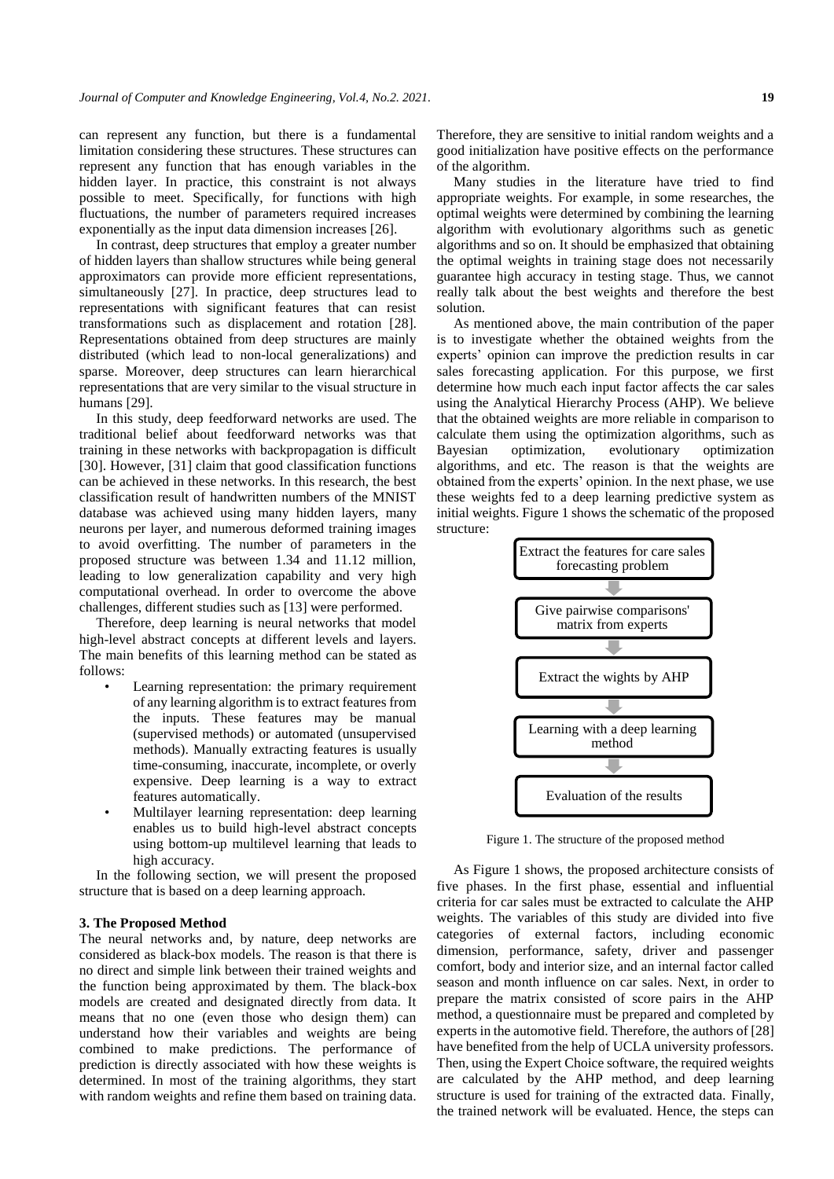can represent any function, but there is a fundamental limitation considering these structures. These structures can represent any function that has enough variables in the hidden layer. In practice, this constraint is not always possible to meet. Specifically, for functions with high fluctuations, the number of parameters required increases exponentially as the input data dimension increases [26].

In contrast, deep structures that employ a greater number of hidden layers than shallow structures while being general approximators can provide more efficient representations, simultaneously [27]. In practice, deep structures lead to representations with significant features that can resist transformations such as displacement and rotation [28]. Representations obtained from deep structures are mainly distributed (which lead to non-local generalizations) and sparse. Moreover, deep structures can learn hierarchical representations that are very similar to the visual structure in humans [29].

In this study, deep feedforward networks are used. The traditional belief about feedforward networks was that training in these networks with backpropagation is difficult [30]. However, [31] claim that good classification functions can be achieved in these networks. In this research, the best classification result of handwritten numbers of the MNIST database was achieved using many hidden layers, many neurons per layer, and numerous deformed training images to avoid overfitting. The number of parameters in the proposed structure was between 1.34 and 11.12 million, leading to low generalization capability and very high computational overhead. In order to overcome the above challenges, different studies such as [13] were performed.

Therefore, deep learning is neural networks that model high-level abstract concepts at different levels and layers. The main benefits of this learning method can be stated as follows:

- Learning representation: the primary requirement of any learning algorithm is to extract features from the inputs. These features may be manual (supervised methods) or automated (unsupervised methods). Manually extracting features is usually time-consuming, inaccurate, incomplete, or overly expensive. Deep learning is a way to extract features automatically.
- Multilayer learning representation: deep learning enables us to build high-level abstract concepts using bottom-up multilevel learning that leads to high accuracy.

In the following section, we will present the proposed structure that is based on a deep learning approach.

#### **3. The Proposed Method**

The neural networks and, by nature, deep networks are considered as black-box models. The reason is that there is no direct and simple link between their trained weights and the function being approximated by them. The black-box models are created and designated directly from data. It means that no one (even those who design them) can understand how their variables and weights are being combined to make predictions. The performance of prediction is directly associated with how these weights is determined. In most of the training algorithms, they start with random weights and refine them based on training data. Therefore, they are sensitive to initial random weights and a good initialization have positive effects on the performance of the algorithm.

Many studies in the literature have tried to find appropriate weights. For example, in some researches, the optimal weights were determined by combining the learning algorithm with evolutionary algorithms such as genetic algorithms and so on. It should be emphasized that obtaining the optimal weights in training stage does not necessarily guarantee high accuracy in testing stage. Thus, we cannot really talk about the best weights and therefore the best solution.

As mentioned above, the main contribution of the paper is to investigate whether the obtained weights from the experts' opinion can improve the prediction results in car sales forecasting application. For this purpose, we first determine how much each input factor affects the car sales using the Analytical Hierarchy Process (AHP). We believe that the obtained weights are more reliable in comparison to calculate them using the optimization algorithms, such as Bayesian optimization, evolutionary optimization algorithms, and etc. The reason is that the weights are obtained from the experts' opinion. In the next phase, we use these weights fed to a deep learning predictive system as initial weights. Figure 1 shows the schematic of the proposed structure:



Figure 1. The structure of the proposed method

As Figure 1 shows, the proposed architecture consists of five phases. In the first phase, essential and influential criteria for car sales must be extracted to calculate the AHP weights. The variables of this study are divided into five categories of external factors, including economic dimension, performance, safety, driver and passenger comfort, body and interior size, and an internal factor called season and month influence on car sales. Next, in order to prepare the matrix consisted of score pairs in the AHP method, a questionnaire must be prepared and completed by experts in the automotive field. Therefore, the authors of [28] have benefited from the help of UCLA university professors. Then, using the Expert Choice software, the required weights are calculated by the AHP method, and deep learning structure is used for training of the extracted data. Finally, the trained network will be evaluated. Hence, the steps can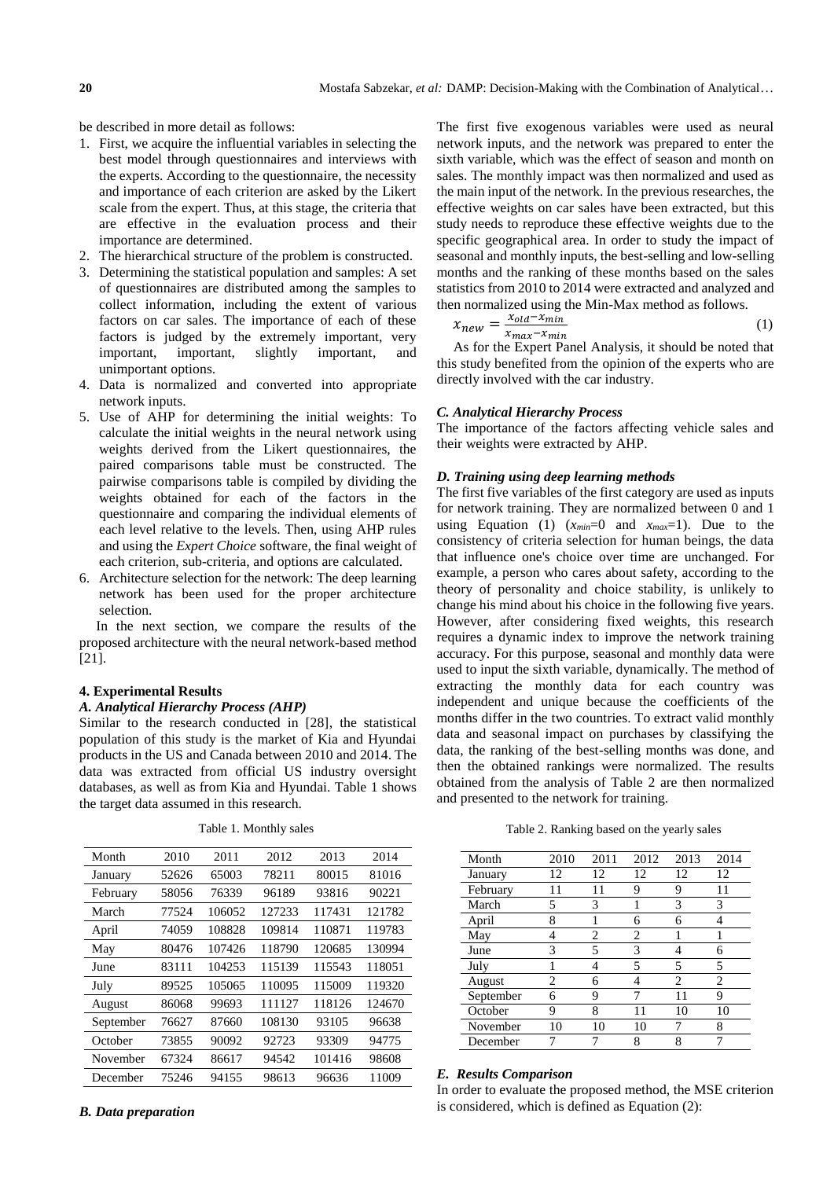be described in more detail as follows:

- 1. First, we acquire the influential variables in selecting the best model through questionnaires and interviews with the experts. According to the questionnaire, the necessity and importance of each criterion are asked by the Likert scale from the expert. Thus, at this stage, the criteria that are effective in the evaluation process and their importance are determined.
- 2. The hierarchical structure of the problem is constructed.
- 3. Determining the statistical population and samples: A set of questionnaires are distributed among the samples to collect information, including the extent of various factors on car sales. The importance of each of these factors is judged by the extremely important, very important, important, slightly important, and unimportant options.
- 4. Data is normalized and converted into appropriate network inputs.
- 5. Use of AHP for determining the initial weights: To calculate the initial weights in the neural network using weights derived from the Likert questionnaires, the paired comparisons table must be constructed. The pairwise comparisons table is compiled by dividing the weights obtained for each of the factors in the questionnaire and comparing the individual elements of each level relative to the levels. Then, using AHP rules and using the *Expert Choice* software, the final weight of each criterion, sub-criteria, and options are calculated.
- 6. Architecture selection for the network: The deep learning network has been used for the proper architecture selection.

In the next section, we compare the results of the proposed architecture with the neural network-based method [21].

## **4. Experimental Results**

## *A. Analytical Hierarchy Process (AHP)*

Similar to the research conducted in [28], the statistical population of this study is the market of Kia and Hyundai products in the US and Canada between 2010 and 2014. The data was extracted from official US industry oversight databases, as well as from Kia and Hyundai. Table 1 shows the target data assumed in this research.

| Month     | 2010  | 2011   | 2012   | 2013   | 2014   |
|-----------|-------|--------|--------|--------|--------|
| January   | 52626 | 65003  | 78211  | 80015  | 81016  |
| February  | 58056 | 76339  | 96189  | 93816  | 90221  |
| March     | 77524 | 106052 | 127233 | 117431 | 121782 |
| April     | 74059 | 108828 | 109814 | 110871 | 119783 |
| May       | 80476 | 107426 | 118790 | 120685 | 130994 |
| June      | 83111 | 104253 | 115139 | 115543 | 118051 |
| July      | 89525 | 105065 | 110095 | 115009 | 119320 |
| August    | 86068 | 99693  | 111127 | 118126 | 124670 |
| September | 76627 | 87660  | 108130 | 93105  | 96638  |
| October   | 73855 | 90092  | 92723  | 93309  | 94775  |
| November  | 67324 | 86617  | 94542  | 101416 | 98608  |
| December  | 75246 | 94155  | 98613  | 96636  | 11009  |

Table 1. Monthly sales

The first five exogenous variables were used as neural network inputs, and the network was prepared to enter the sixth variable, which was the effect of season and month on sales. The monthly impact was then normalized and used as the main input of the network. In the previous researches, the effective weights on car sales have been extracted, but this study needs to reproduce these effective weights due to the specific geographical area. In order to study the impact of seasonal and monthly inputs, the best-selling and low-selling months and the ranking of these months based on the sales statistics from 2010 to 2014 were extracted and analyzed and then normalized using the Min-Max method as follows.

$$
x_{new} = \frac{x_{old} - x_{min}}{x_{max} - x_{min}} \tag{1}
$$

As for the Expert Panel Analysis, it should be noted that this study benefited from the opinion of the experts who are directly involved with the car industry.

### *C. Analytical Hierarchy Process*

The importance of the factors affecting vehicle sales and their weights were extracted by AHP.

## *D. Training using deep learning methods*

The first five variables of the first category are used as inputs for network training. They are normalized between 0 and 1 using Equation (1)  $(x_{min}=0 \text{ and } x_{max}=1)$ . Due to the consistency of criteria selection for human beings, the data that influence one's choice over time are unchanged. For example, a person who cares about safety, according to the theory of personality and choice stability, is unlikely to change his mind about his choice in the following five years. However, after considering fixed weights, this research requires a dynamic index to improve the network training accuracy. For this purpose, seasonal and monthly data were used to input the sixth variable, dynamically. The method of extracting the monthly data for each country was independent and unique because the coefficients of the months differ in the two countries. To extract valid monthly data and seasonal impact on purchases by classifying the data, the ranking of the best-selling months was done, and then the obtained rankings were normalized. The results obtained from the analysis of Table 2 are then normalized and presented to the network for training.

Table 2. Ranking based on the yearly sales

| Month     | 2010 | 2011 | 2012 | 2013 | 2014           |
|-----------|------|------|------|------|----------------|
| January   | 12   | 12   | 12   | 12   | 12             |
| February  | 11   | 11   | q    | 9    |                |
| March     | 5    | 3    |      | 3    | 3              |
| April     | 8    |      | 6    | 6    |                |
| May       | 4    | 2    | 2    |      |                |
| June      | 3    | 5    | 3    |      | 6              |
| July      |      |      | 5    | 5    | 5              |
| August    | 2    | 6    |      | 2    | $\overline{c}$ |
| September | 6    | 9    |      | 11   | 9              |
| October   | 9    | 8    | 11   | 10   | 10             |
| November  | 10   | 10   | 10   |      | 8              |
| December  | 7    |      | 8    | 8    | 7              |

#### *E. Results Comparison*

In order to evaluate the proposed method, the MSE criterion is considered, which is defined as Equation (2):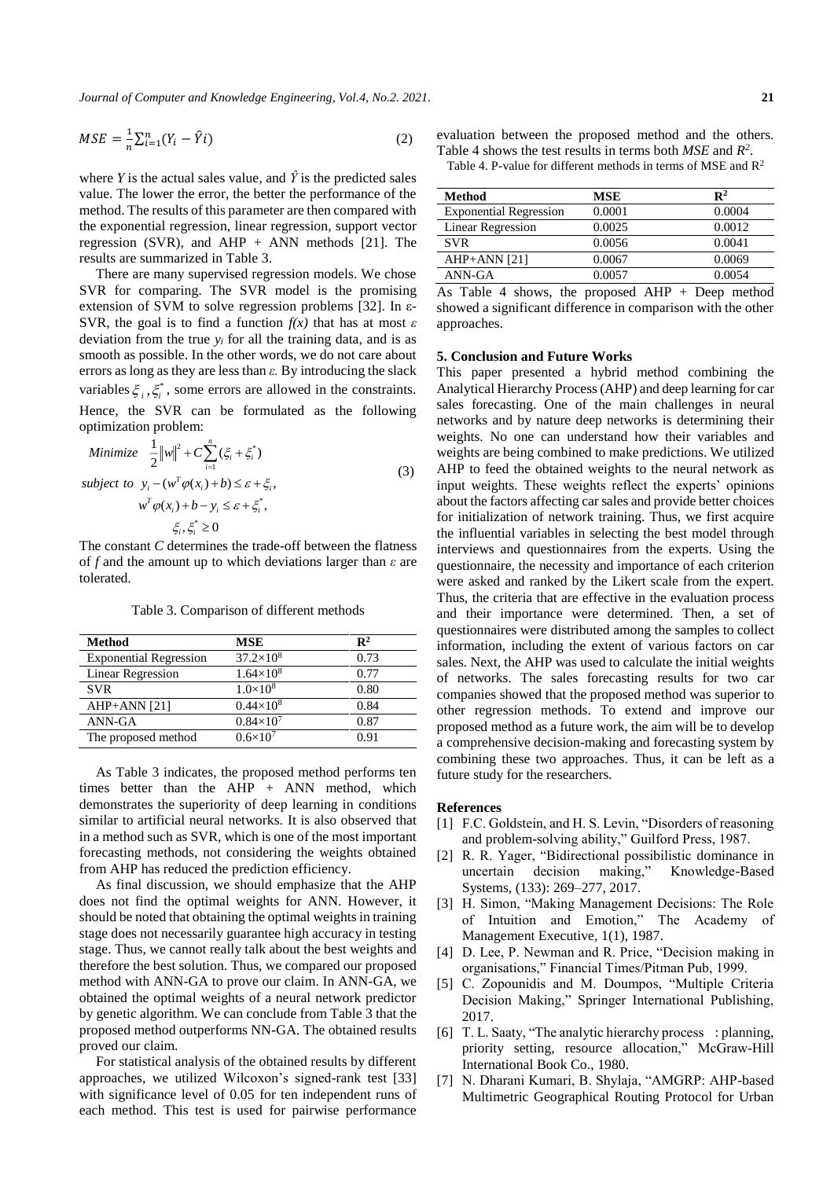*Journal of Computer and Knowledge Engineering, Vol.4, No.2. 2021.* **21**

$$
MSE = \frac{1}{n} \sum_{i=1}^{n} (Y_i - \hat{Y}i)
$$
 (2)

where *Y* is the actual sales value, and  $\hat{Y}$  is the predicted sales value. The lower the error, the better the performance of the method. The results of this parameter are then compared with the exponential regression, linear regression, support vector regression (SVR), and AHP  $+$  ANN methods [21]. The results are summarized in Table 3.

There are many supervised regression models. We chose SVR for comparing. The SVR model is the promising extension of SVM to solve regression problems [32]. In ε-SVR, the goal is to find a function  $f(x)$  that has at most  $\varepsilon$ deviation from the true  $y_i$  for all the training data, and is as smooth as possible. In the other words, we do not care about errors as long as they are less than *ε.* By introducing the slack variables  $\xi_i, \xi_i^*$ , some errors are allowed in the constraints. Hence, the SVR can be formulated as the following optimization problem:

Minimize 
$$
\frac{1}{2} ||w||^2 + C \sum_{i=1}^n (\xi_i + \xi_i^*)
$$
  
subject to 
$$
y_i - (w^T \varphi(x_i) + b) \le \varepsilon + \xi_i,
$$

$$
w^T \varphi(x_i) + b - y_i \le \varepsilon + \xi_i^*,
$$

$$
\xi_i, \xi_i^* \ge 0
$$
(3)

The constant *C* determines the trade-off between the flatness of *f* and the amount up to which deviations larger than *ε* are tolerated.

Table 3. Comparison of different methods

| Method                        | <b>MSE</b>          | $\mathbf{R}^2$ |
|-------------------------------|---------------------|----------------|
| <b>Exponential Regression</b> | $37.2\times10^{8}$  | 0.73           |
| Linear Regression             | $1.64\times10^{8}$  | 0.77           |
| <b>SVR</b>                    | $1.0\times10^{8}$   | 0.80           |
| $AHP+ANN [21]$                | $0.44\times10^{8}$  | 0.84           |
| ANN-GA                        | $0.84\times10^{7}$  | 0.87           |
| The proposed method           | $0.6 \times 10^{7}$ | 0.91           |

As Table 3 indicates, the proposed method performs ten times better than the AHP + ANN method, which demonstrates the superiority of deep learning in conditions similar to artificial neural networks. It is also observed that in a method such as SVR, which is one of the most important forecasting methods, not considering the weights obtained from AHP has reduced the prediction efficiency.

As final discussion, we should emphasize that the AHP does not find the optimal weights for ANN. However, it should be noted that obtaining the optimal weights in training stage does not necessarily guarantee high accuracy in testing stage. Thus, we cannot really talk about the best weights and therefore the best solution. Thus, we compared our proposed method with ANN-GA to prove our claim. In ANN-GA, we obtained the optimal weights of a neural network predictor by genetic algorithm. We can conclude from Table 3 that the proposed method outperforms NN-GA. The obtained results proved our claim.

For statistical analysis of the obtained results by different approaches, we utilized Wilcoxon's signed-rank test [33] with significance level of 0.05 for ten independent runs of each method. This test is used for pairwise performance evaluation between the proposed method and the others. Table 4 shows the test results in terms both *MSE* and *R 2* .

Table 4. P-value for different methods in terms of MSE and  $\mathbb{R}^2$ 

| Method                        | MSE    | $\mathbf{R}^2$ |
|-------------------------------|--------|----------------|
| <b>Exponential Regression</b> | 0.0001 | 0.0004         |
| Linear Regression             | 0.0025 | 0.0012         |
| <b>SVR</b>                    | 0.0056 | 0.0041         |
| $AHP+ANN [21]$                | 0.0067 | 0.0069         |
| ANN-GA                        | 0.0057 | 0.0054         |

As Table 4 shows, the proposed AHP + Deep method showed a significant difference in comparison with the other approaches.

#### **5. Conclusion and Future Works**

This paper presented a hybrid method combining the Analytical Hierarchy Process (AHP) and deep learning for car sales forecasting. One of the main challenges in neural networks and by nature deep networks is determining their weights. No one can understand how their variables and weights are being combined to make predictions. We utilized AHP to feed the obtained weights to the neural network as input weights. These weights reflect the experts' opinions about the factors affecting car sales and provide better choices for initialization of network training. Thus, we first acquire the influential variables in selecting the best model through interviews and questionnaires from the experts. Using the questionnaire, the necessity and importance of each criterion were asked and ranked by the Likert scale from the expert. Thus, the criteria that are effective in the evaluation process and their importance were determined. Then, a set of questionnaires were distributed among the samples to collect information, including the extent of various factors on car sales. Next, the AHP was used to calculate the initial weights of networks. The sales forecasting results for two car companies showed that the proposed method was superior to other regression methods. To extend and improve our proposed method as a future work, the aim will be to develop a comprehensive decision-making and forecasting system by combining these two approaches. Thus, it can be left as a future study for the researchers.

#### **References**

- [1] F.C. Goldstein, and H. S. Levin, "Disorders of reasoning and problem-solving ability," Guilford Press, 1987.
- [2] R. R. Yager, "Bidirectional possibilistic dominance in uncertain decision making," Knowledge-Based Systems, (133): 269–277, 2017.
- [3] H. Simon, "Making Management Decisions: The Role of Intuition and Emotion," The Academy of Management Executive, 1(1), 1987.
- [4] D. Lee, P. Newman and R. Price, "Decision making in organisations," Financial Times/Pitman Pub, 1999.
- [5] C. Zopounidis and M. Doumpos, "Multiple Criteria Decision Making," Springer International Publishing, 2017.
- [6] T. L. Saaty, "The analytic hierarchy process : planning, priority setting, resource allocation," McGraw-Hill International Book Co., 1980.
- [7] N. Dharani Kumari, B. Shylaja, "AMGRP: AHP-based Multimetric Geographical Routing Protocol for Urban